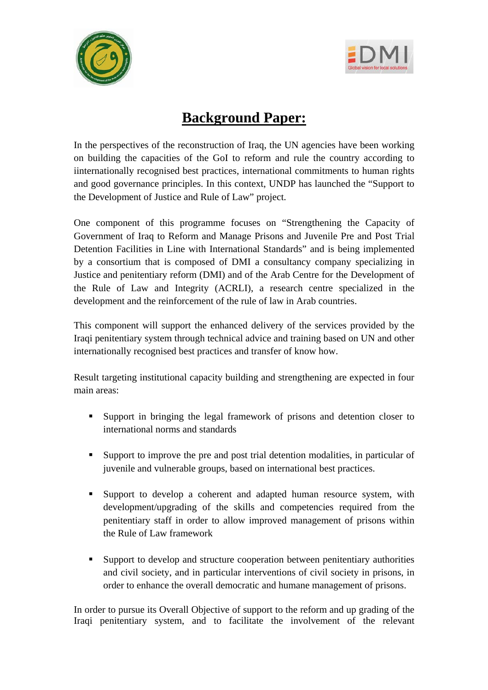



## **Background Paper:**

In the perspectives of the reconstruction of Iraq, the UN agencies have been working on building the capacities of the GoI to reform and rule the country according to iinternationally recognised best practices, international commitments to human rights and good governance principles. In this context, UNDP has launched the "Support to the Development of Justice and Rule of Law" project.

One component of this programme focuses on "Strengthening the Capacity of Government of Iraq to Reform and Manage Prisons and Juvenile Pre and Post Trial Detention Facilities in Line with International Standards" and is being implemented by a consortium that is composed of DMI a consultancy company specializing in Justice and penitentiary reform (DMI) and of the Arab Centre for the Development of the Rule of Law and Integrity (ACRLI), a research centre specialized in the development and the reinforcement of the rule of law in Arab countries.

This component will support the enhanced delivery of the services provided by the Iraqi penitentiary system through technical advice and training based on UN and other internationally recognised best practices and transfer of know how.

Result targeting institutional capacity building and strengthening are expected in four main areas:

- Support in bringing the legal framework of prisons and detention closer to international norms and standards
- Support to improve the pre and post trial detention modalities, in particular of juvenile and vulnerable groups, based on international best practices.
- Support to develop a coherent and adapted human resource system, with development/upgrading of the skills and competencies required from the penitentiary staff in order to allow improved management of prisons within the Rule of Law framework
- Support to develop and structure cooperation between penitentiary authorities and civil society, and in particular interventions of civil society in prisons, in order to enhance the overall democratic and humane management of prisons.

In order to pursue its Overall Objective of support to the reform and up grading of the Iraqi penitentiary system, and to facilitate the involvement of the relevant